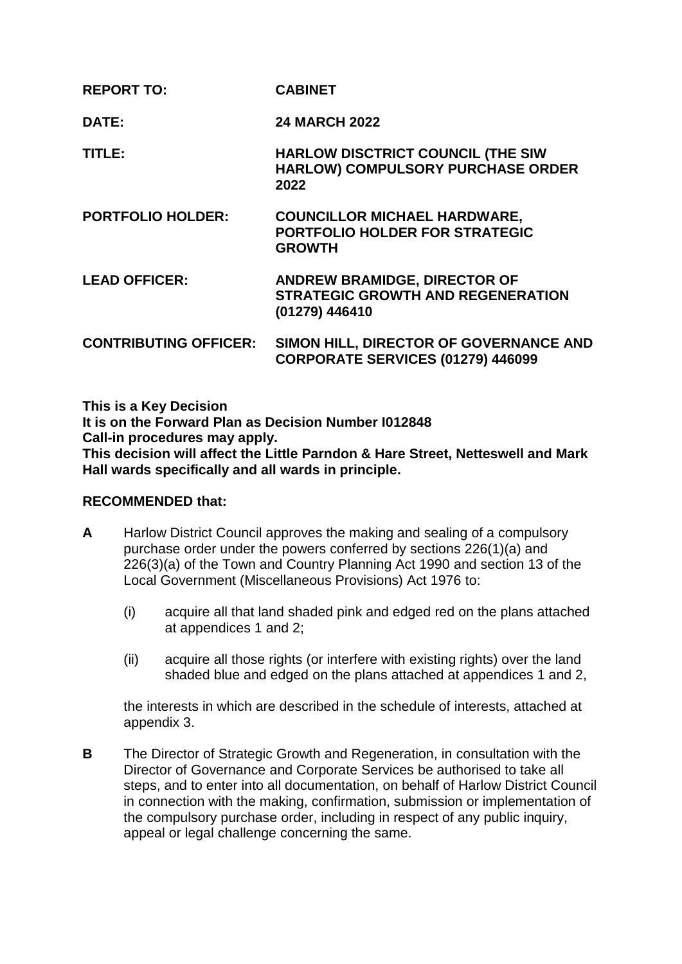| <b>REPORT TO:</b>            | <b>CABINET</b>                                                                                    |
|------------------------------|---------------------------------------------------------------------------------------------------|
| DATE:                        | <b>24 MARCH 2022</b>                                                                              |
| TITLE:                       | <b>HARLOW DISCTRICT COUNCIL (THE SIW</b><br>HARLOW) COMPULSORY PURCHASE ORDER<br>2022             |
| <b>PORTFOLIO HOLDER:</b>     | <b>COUNCILLOR MICHAEL HARDWARE,</b><br><b>PORTFOLIO HOLDER FOR STRATEGIC</b><br><b>GROWTH</b>     |
| <b>LEAD OFFICER:</b>         | <b>ANDREW BRAMIDGE, DIRECTOR OF</b><br><b>STRATEGIC GROWTH AND REGENERATION</b><br>(01279) 446410 |
| <b>CONTRIBUTING OFFICER:</b> | SIMON HILL, DIRECTOR OF GOVERNANCE AND<br>CORPORATE SERVICES (01279) 446099                       |

**This is a Key Decision It is on the Forward Plan as Decision Number I012848 Call-in procedures may apply. This decision will affect the Little Parndon & Hare Street, Netteswell and Mark Hall wards specifically and all wards in principle.** 

## **RECOMMENDED that:**

- **A** Harlow District Council approves the making and sealing of a compulsory purchase order under the powers conferred by sections 226(1)(a) and 226(3)(a) of the Town and Country Planning Act 1990 and section 13 of the Local Government (Miscellaneous Provisions) Act 1976 to:
	- (i) acquire all that land shaded pink and edged red on the plans attached at appendices 1 and 2;
	- (ii) acquire all those rights (or interfere with existing rights) over the land shaded blue and edged on the plans attached at appendices 1 and 2,

the interests in which are described in the schedule of interests, attached at appendix 3.

**B** The Director of Strategic Growth and Regeneration, in consultation with the Director of Governance and Corporate Services be authorised to take all steps, and to enter into all documentation, on behalf of Harlow District Council in connection with the making, confirmation, submission or implementation of the compulsory purchase order, including in respect of any public inquiry, appeal or legal challenge concerning the same.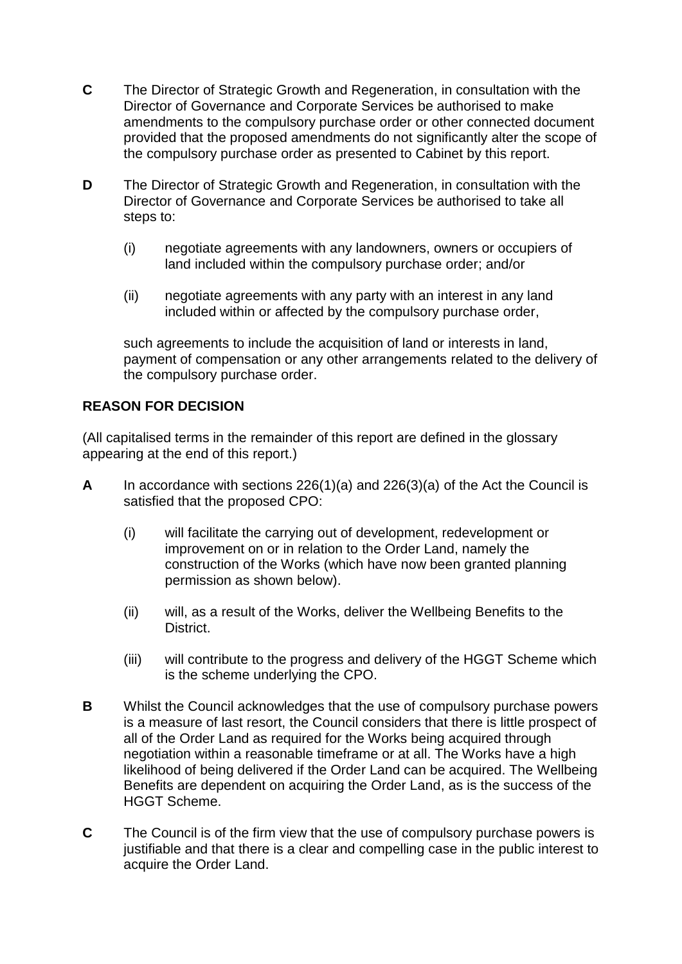- **C** The Director of Strategic Growth and Regeneration, in consultation with the Director of Governance and Corporate Services be authorised to make amendments to the compulsory purchase order or other connected document provided that the proposed amendments do not significantly alter the scope of the compulsory purchase order as presented to Cabinet by this report.
- **D** The Director of Strategic Growth and Regeneration, in consultation with the Director of Governance and Corporate Services be authorised to take all steps to:
	- (i) negotiate agreements with any landowners, owners or occupiers of land included within the compulsory purchase order; and/or
	- (ii) negotiate agreements with any party with an interest in any land included within or affected by the compulsory purchase order,

such agreements to include the acquisition of land or interests in land, payment of compensation or any other arrangements related to the delivery of the compulsory purchase order.

## **REASON FOR DECISION**

(All capitalised terms in the remainder of this report are defined in the glossary appearing at the end of this report.)

- **A** In accordance with sections 226(1)(a) and 226(3)(a) of the Act the Council is satisfied that the proposed CPO:
	- (i) will facilitate the carrying out of development, redevelopment or improvement on or in relation to the Order Land, namely the construction of the Works (which have now been granted planning permission as shown below).
	- (ii) will, as a result of the Works, deliver the Wellbeing Benefits to the District.
	- (iii) will contribute to the progress and delivery of the HGGT Scheme which is the scheme underlying the CPO.
- **B** Whilst the Council acknowledges that the use of compulsory purchase powers is a measure of last resort, the Council considers that there is little prospect of all of the Order Land as required for the Works being acquired through negotiation within a reasonable timeframe or at all. The Works have a high likelihood of being delivered if the Order Land can be acquired. The Wellbeing Benefits are dependent on acquiring the Order Land, as is the success of the HGGT Scheme.
- **C** The Council is of the firm view that the use of compulsory purchase powers is justifiable and that there is a clear and compelling case in the public interest to acquire the Order Land.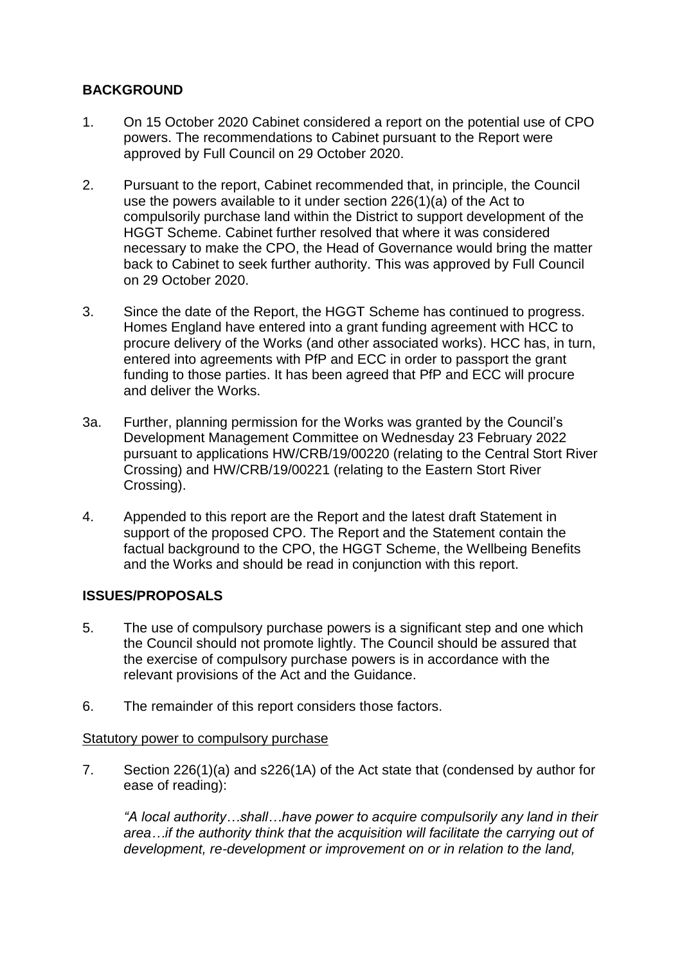## **BACKGROUND**

- 1. On 15 October 2020 Cabinet considered a report on the potential use of CPO powers. The recommendations to Cabinet pursuant to the Report were approved by Full Council on 29 October 2020.
- 2. Pursuant to the report, Cabinet recommended that, in principle, the Council use the powers available to it under section 226(1)(a) of the Act to compulsorily purchase land within the District to support development of the HGGT Scheme. Cabinet further resolved that where it was considered necessary to make the CPO, the Head of Governance would bring the matter back to Cabinet to seek further authority. This was approved by Full Council on 29 October 2020.
- 3. Since the date of the Report, the HGGT Scheme has continued to progress. Homes England have entered into a grant funding agreement with HCC to procure delivery of the Works (and other associated works). HCC has, in turn, entered into agreements with PfP and ECC in order to passport the grant funding to those parties. It has been agreed that PfP and ECC will procure and deliver the Works.
- 3a. Further, planning permission for the Works was granted by the Council's Development Management Committee on Wednesday 23 February 2022 pursuant to applications HW/CRB/19/00220 (relating to the Central Stort River Crossing) and HW/CRB/19/00221 (relating to the Eastern Stort River Crossing).
- 4. Appended to this report are the Report and the latest draft Statement in support of the proposed CPO. The Report and the Statement contain the factual background to the CPO, the HGGT Scheme, the Wellbeing Benefits and the Works and should be read in conjunction with this report.

# **ISSUES/PROPOSALS**

- 5. The use of compulsory purchase powers is a significant step and one which the Council should not promote lightly. The Council should be assured that the exercise of compulsory purchase powers is in accordance with the relevant provisions of the Act and the Guidance.
- 6. The remainder of this report considers those factors.

## Statutory power to compulsory purchase

7. Section 226(1)(a) and s226(1A) of the Act state that (condensed by author for ease of reading):

*"A local authority…shall…have power to acquire compulsorily any land in their area…if the authority think that the acquisition will facilitate the carrying out of development, re-development or improvement on or in relation to the land,*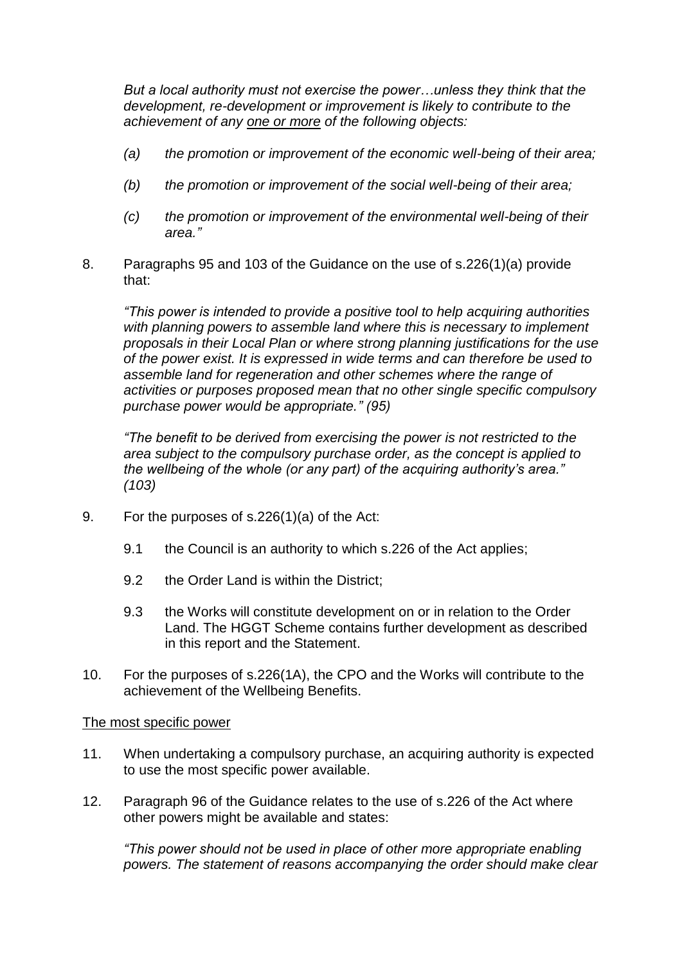*But a local authority must not exercise the power…unless they think that the development, re-development or improvement is likely to contribute to the achievement of any one or more of the following objects:*

- *(a) the promotion or improvement of the economic well-being of their area;*
- *(b) the promotion or improvement of the social well-being of their area;*
- *(c) the promotion or improvement of the environmental well-being of their area."*
- 8. Paragraphs 95 and 103 of the Guidance on the use of s.226(1)(a) provide that:

*"This power is intended to provide a positive tool to help acquiring authorities with planning powers to assemble land where this is necessary to implement proposals in their Local Plan or where strong planning justifications for the use of the power exist. It is expressed in wide terms and can therefore be used to assemble land for regeneration and other schemes where the range of activities or purposes proposed mean that no other single specific compulsory purchase power would be appropriate." (95)*

*"The benefit to be derived from exercising the power is not restricted to the area subject to the compulsory purchase order, as the concept is applied to the wellbeing of the whole (or any part) of the acquiring authority's area." (103)*

- 9. For the purposes of s.226(1)(a) of the Act:
	- 9.1 the Council is an authority to which s.226 of the Act applies;
	- 9.2 the Order Land is within the District;
	- 9.3 the Works will constitute development on or in relation to the Order Land. The HGGT Scheme contains further development as described in this report and the Statement.
- 10. For the purposes of s.226(1A), the CPO and the Works will contribute to the achievement of the Wellbeing Benefits.

#### The most specific power

- 11. When undertaking a compulsory purchase, an acquiring authority is expected to use the most specific power available.
- 12. Paragraph 96 of the Guidance relates to the use of s.226 of the Act where other powers might be available and states:

*"This power should not be used in place of other more appropriate enabling powers. The statement of reasons accompanying the order should make clear*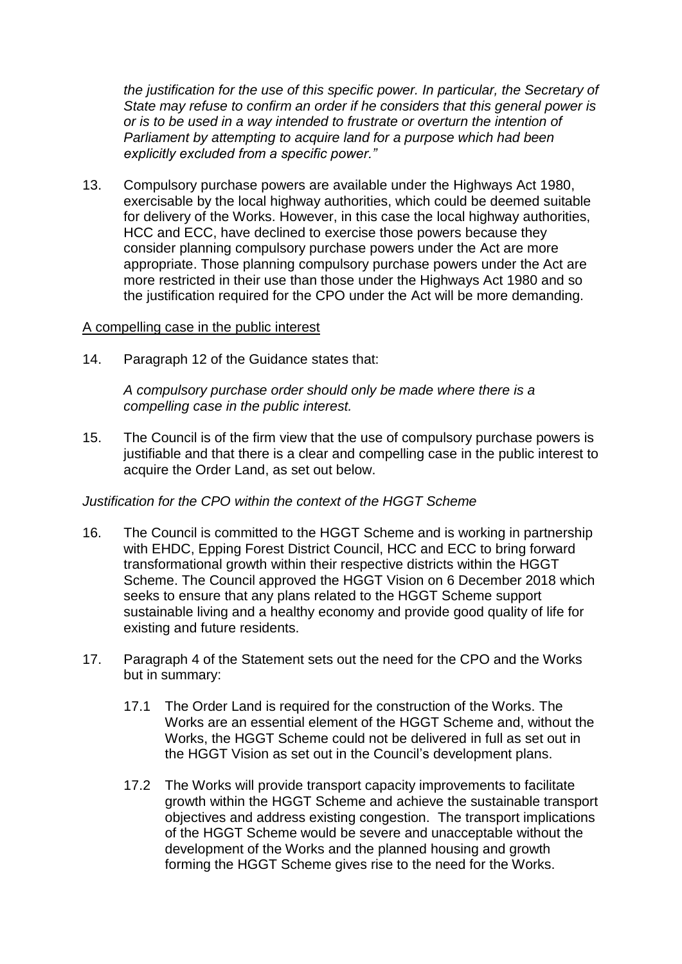*the justification for the use of this specific power. In particular, the Secretary of State may refuse to confirm an order if he considers that this general power is or is to be used in a way intended to frustrate or overturn the intention of Parliament by attempting to acquire land for a purpose which had been explicitly excluded from a specific power."*

13. Compulsory purchase powers are available under the Highways Act 1980, exercisable by the local highway authorities, which could be deemed suitable for delivery of the Works. However, in this case the local highway authorities, HCC and ECC, have declined to exercise those powers because they consider planning compulsory purchase powers under the Act are more appropriate. Those planning compulsory purchase powers under the Act are more restricted in their use than those under the Highways Act 1980 and so the justification required for the CPO under the Act will be more demanding.

## A compelling case in the public interest

14. Paragraph 12 of the Guidance states that:

*A compulsory purchase order should only be made where there is a compelling case in the public interest.* 

15. The Council is of the firm view that the use of compulsory purchase powers is justifiable and that there is a clear and compelling case in the public interest to acquire the Order Land, as set out below.

## *Justification for the CPO within the context of the HGGT Scheme*

- 16. The Council is committed to the HGGT Scheme and is working in partnership with EHDC, Epping Forest District Council, HCC and ECC to bring forward transformational growth within their respective districts within the HGGT Scheme. The Council approved the HGGT Vision on 6 December 2018 which seeks to ensure that any plans related to the HGGT Scheme support sustainable living and a healthy economy and provide good quality of life for existing and future residents.
- 17. Paragraph 4 of the Statement sets out the need for the CPO and the Works but in summary:
	- 17.1 The Order Land is required for the construction of the Works. The Works are an essential element of the HGGT Scheme and, without the Works, the HGGT Scheme could not be delivered in full as set out in the HGGT Vision as set out in the Council's development plans.
	- 17.2 The Works will provide transport capacity improvements to facilitate growth within the HGGT Scheme and achieve the sustainable transport objectives and address existing congestion. The transport implications of the HGGT Scheme would be severe and unacceptable without the development of the Works and the planned housing and growth forming the HGGT Scheme gives rise to the need for the Works.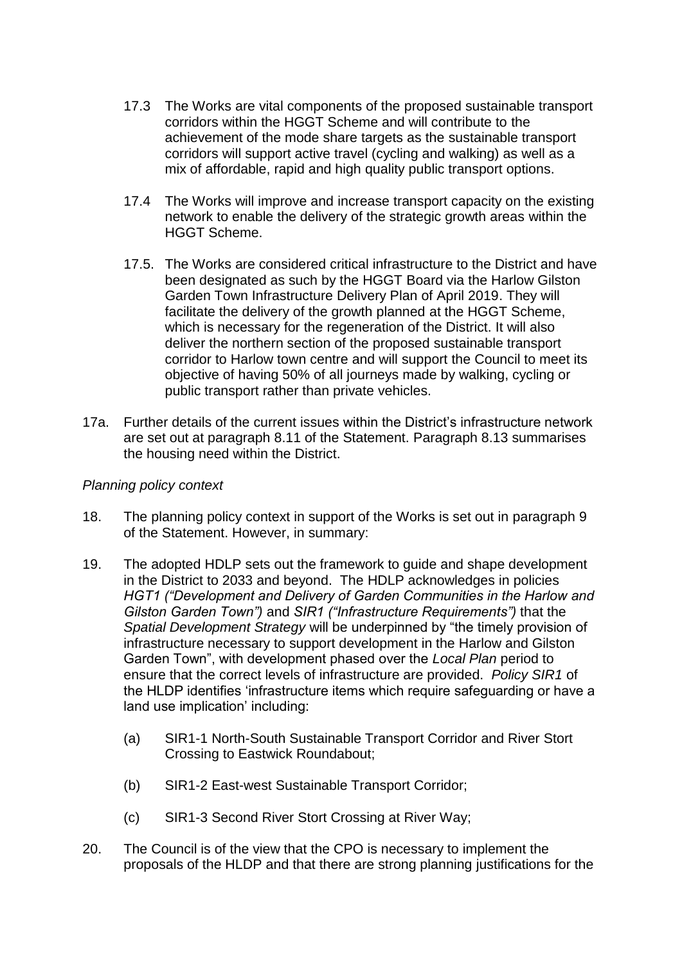- 17.3 The Works are vital components of the proposed sustainable transport corridors within the HGGT Scheme and will contribute to the achievement of the mode share targets as the sustainable transport corridors will support active travel (cycling and walking) as well as a mix of affordable, rapid and high quality public transport options.
- 17.4 The Works will improve and increase transport capacity on the existing network to enable the delivery of the strategic growth areas within the HGGT Scheme.
- 17.5. The Works are considered critical infrastructure to the District and have been designated as such by the HGGT Board via the Harlow Gilston Garden Town Infrastructure Delivery Plan of April 2019. They will facilitate the delivery of the growth planned at the HGGT Scheme, which is necessary for the regeneration of the District. It will also deliver the northern section of the proposed sustainable transport corridor to Harlow town centre and will support the Council to meet its objective of having 50% of all journeys made by walking, cycling or public transport rather than private vehicles.
- 17a. Further details of the current issues within the District's infrastructure network are set out at paragraph 8.11 of the Statement. Paragraph 8.13 summarises the housing need within the District.

## *Planning policy context*

- 18. The planning policy context in support of the Works is set out in paragraph 9 of the Statement. However, in summary:
- 19. The adopted HDLP sets out the framework to guide and shape development in the District to 2033 and beyond. The HDLP acknowledges in policies *HGT1 ("Development and Delivery of Garden Communities in the Harlow and Gilston Garden Town")* and *SIR1 ("Infrastructure Requirements")* that the *Spatial Development Strategy* will be underpinned by "the timely provision of infrastructure necessary to support development in the Harlow and Gilston Garden Town", with development phased over the *Local Plan* period to ensure that the correct levels of infrastructure are provided. *Policy SIR1* of the HLDP identifies 'infrastructure items which require safeguarding or have a land use implication' including:
	- (a) SIR1-1 North-South Sustainable Transport Corridor and River Stort Crossing to Eastwick Roundabout;
	- (b) SIR1-2 East-west Sustainable Transport Corridor;
	- (c) SIR1-3 Second River Stort Crossing at River Way;
- 20. The Council is of the view that the CPO is necessary to implement the proposals of the HLDP and that there are strong planning justifications for the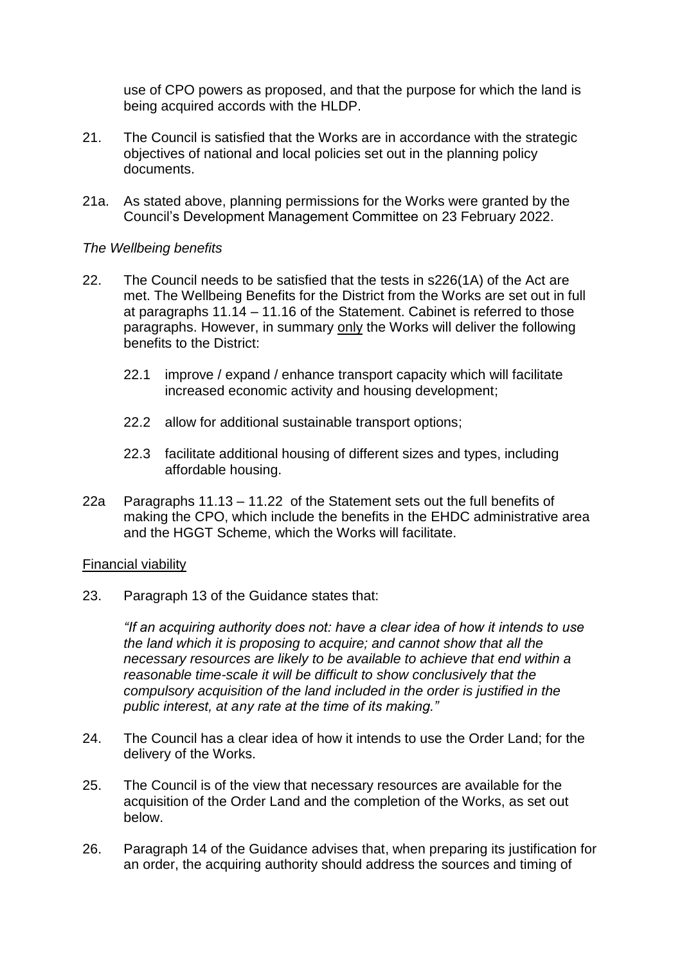use of CPO powers as proposed, and that the purpose for which the land is being acquired accords with the HLDP.

- 21. The Council is satisfied that the Works are in accordance with the strategic objectives of national and local policies set out in the planning policy documents.
- 21a. As stated above, planning permissions for the Works were granted by the Council's Development Management Committee on 23 February 2022.

#### *The Wellbeing benefits*

- 22. The Council needs to be satisfied that the tests in s226(1A) of the Act are met. The Wellbeing Benefits for the District from the Works are set out in full at paragraphs 11.14 – 11.16 of the Statement. Cabinet is referred to those paragraphs. However, in summary only the Works will deliver the following benefits to the District:
	- 22.1 improve / expand / enhance transport capacity which will facilitate increased economic activity and housing development;
	- 22.2 allow for additional sustainable transport options;
	- 22.3 facilitate additional housing of different sizes and types, including affordable housing.
- 22a Paragraphs 11.13 11.22 of the Statement sets out the full benefits of making the CPO, which include the benefits in the EHDC administrative area and the HGGT Scheme, which the Works will facilitate.

#### Financial viability

23. Paragraph 13 of the Guidance states that:

*"If an acquiring authority does not: have a clear idea of how it intends to use the land which it is proposing to acquire; and cannot show that all the necessary resources are likely to be available to achieve that end within a reasonable time-scale it will be difficult to show conclusively that the compulsory acquisition of the land included in the order is justified in the public interest, at any rate at the time of its making."*

- 24. The Council has a clear idea of how it intends to use the Order Land; for the delivery of the Works.
- 25. The Council is of the view that necessary resources are available for the acquisition of the Order Land and the completion of the Works, as set out below.
- 26. Paragraph 14 of the Guidance advises that, when preparing its justification for an order, the acquiring authority should address the sources and timing of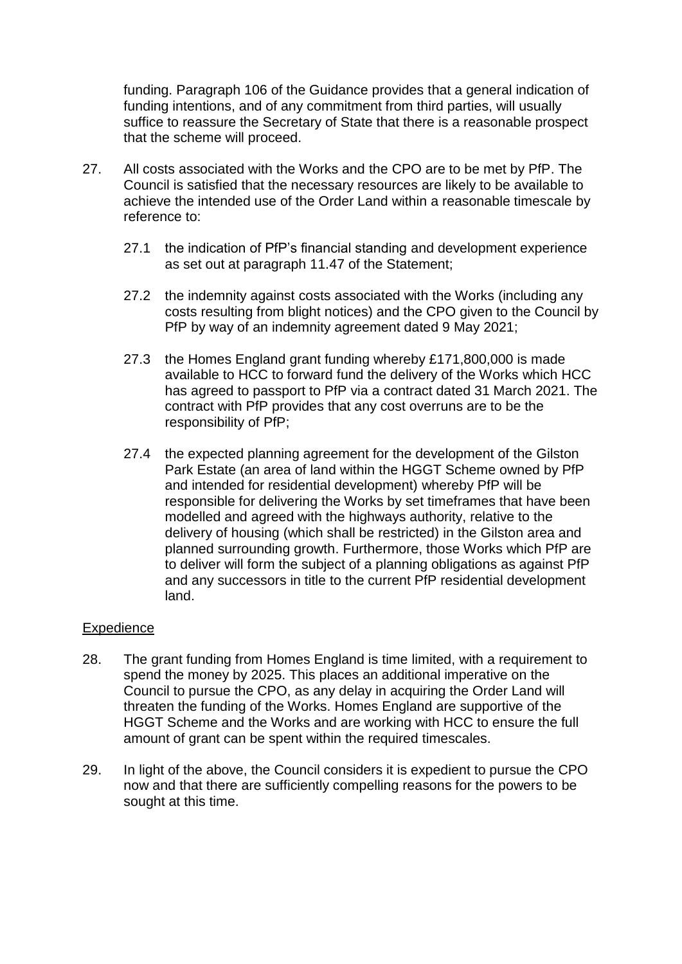funding. Paragraph 106 of the Guidance provides that a general indication of funding intentions, and of any commitment from third parties, will usually suffice to reassure the Secretary of State that there is a reasonable prospect that the scheme will proceed.

- 27. All costs associated with the Works and the CPO are to be met by PfP. The Council is satisfied that the necessary resources are likely to be available to achieve the intended use of the Order Land within a reasonable timescale by reference to:
	- 27.1 the indication of PfP's financial standing and development experience as set out at paragraph 11.47 of the Statement;
	- 27.2 the indemnity against costs associated with the Works (including any costs resulting from blight notices) and the CPO given to the Council by PfP by way of an indemnity agreement dated 9 May 2021;
	- 27.3 the Homes England grant funding whereby £171,800,000 is made available to HCC to forward fund the delivery of the Works which HCC has agreed to passport to PfP via a contract dated 31 March 2021. The contract with PfP provides that any cost overruns are to be the responsibility of PfP;
	- 27.4 the expected planning agreement for the development of the Gilston Park Estate (an area of land within the HGGT Scheme owned by PfP and intended for residential development) whereby PfP will be responsible for delivering the Works by set timeframes that have been modelled and agreed with the highways authority, relative to the delivery of housing (which shall be restricted) in the Gilston area and planned surrounding growth. Furthermore, those Works which PfP are to deliver will form the subject of a planning obligations as against PfP and any successors in title to the current PfP residential development land.

## Expedience

- 28. The grant funding from Homes England is time limited, with a requirement to spend the money by 2025. This places an additional imperative on the Council to pursue the CPO, as any delay in acquiring the Order Land will threaten the funding of the Works. Homes England are supportive of the HGGT Scheme and the Works and are working with HCC to ensure the full amount of grant can be spent within the required timescales.
- 29. In light of the above, the Council considers it is expedient to pursue the CPO now and that there are sufficiently compelling reasons for the powers to be sought at this time.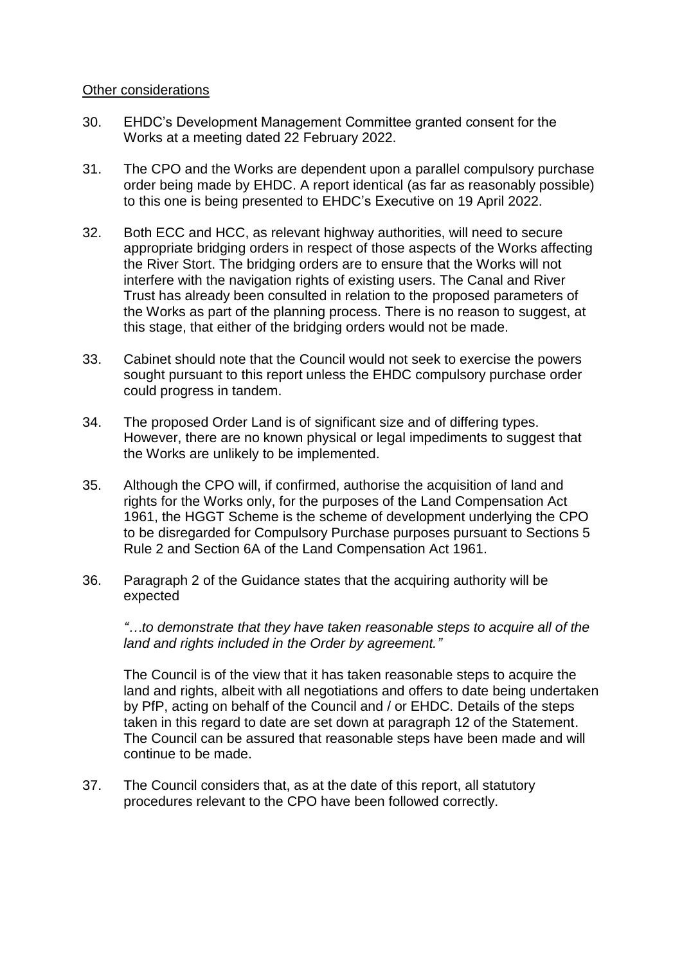#### Other considerations

- 30. EHDC's Development Management Committee granted consent for the Works at a meeting dated 22 February 2022.
- 31. The CPO and the Works are dependent upon a parallel compulsory purchase order being made by EHDC. A report identical (as far as reasonably possible) to this one is being presented to EHDC's Executive on 19 April 2022.
- 32. Both ECC and HCC, as relevant highway authorities, will need to secure appropriate bridging orders in respect of those aspects of the Works affecting the River Stort. The bridging orders are to ensure that the Works will not interfere with the navigation rights of existing users. The Canal and River Trust has already been consulted in relation to the proposed parameters of the Works as part of the planning process. There is no reason to suggest, at this stage, that either of the bridging orders would not be made.
- 33. Cabinet should note that the Council would not seek to exercise the powers sought pursuant to this report unless the EHDC compulsory purchase order could progress in tandem.
- 34. The proposed Order Land is of significant size and of differing types. However, there are no known physical or legal impediments to suggest that the Works are unlikely to be implemented.
- 35. Although the CPO will, if confirmed, authorise the acquisition of land and rights for the Works only, for the purposes of the Land Compensation Act 1961, the HGGT Scheme is the scheme of development underlying the CPO to be disregarded for Compulsory Purchase purposes pursuant to Sections 5 Rule 2 and Section 6A of the Land Compensation Act 1961.
- 36. Paragraph 2 of the Guidance states that the acquiring authority will be expected

*"…to demonstrate that they have taken reasonable steps to acquire all of the land and rights included in the Order by agreement."* 

The Council is of the view that it has taken reasonable steps to acquire the land and rights, albeit with all negotiations and offers to date being undertaken by PfP, acting on behalf of the Council and / or EHDC. Details of the steps taken in this regard to date are set down at paragraph 12 of the Statement. The Council can be assured that reasonable steps have been made and will continue to be made.

37. The Council considers that, as at the date of this report, all statutory procedures relevant to the CPO have been followed correctly.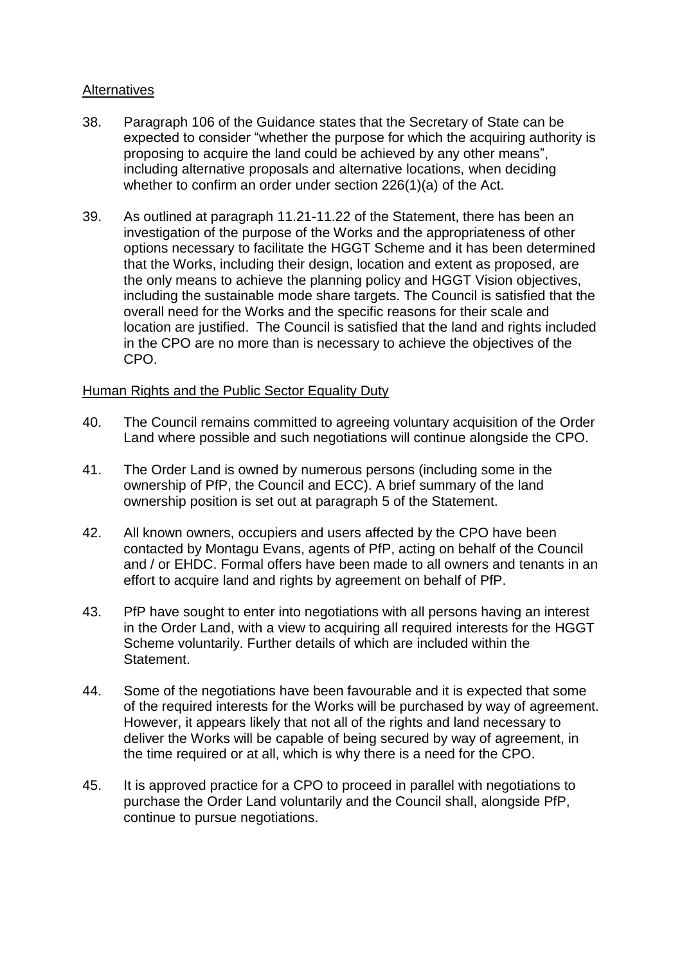## **Alternatives**

- 38. Paragraph 106 of the Guidance states that the Secretary of State can be expected to consider "whether the purpose for which the acquiring authority is proposing to acquire the land could be achieved by any other means", including alternative proposals and alternative locations, when deciding whether to confirm an order under section 226(1)(a) of the Act.
- 39. As outlined at paragraph 11.21-11.22 of the Statement, there has been an investigation of the purpose of the Works and the appropriateness of other options necessary to facilitate the HGGT Scheme and it has been determined that the Works, including their design, location and extent as proposed, are the only means to achieve the planning policy and HGGT Vision objectives, including the sustainable mode share targets. The Council is satisfied that the overall need for the Works and the specific reasons for their scale and location are justified. The Council is satisfied that the land and rights included in the CPO are no more than is necessary to achieve the objectives of the CPO.

## Human Rights and the Public Sector Equality Duty

- 40. The Council remains committed to agreeing voluntary acquisition of the Order Land where possible and such negotiations will continue alongside the CPO.
- 41. The Order Land is owned by numerous persons (including some in the ownership of PfP, the Council and ECC). A brief summary of the land ownership position is set out at paragraph 5 of the Statement.
- 42. All known owners, occupiers and users affected by the CPO have been contacted by Montagu Evans, agents of PfP, acting on behalf of the Council and / or EHDC. Formal offers have been made to all owners and tenants in an effort to acquire land and rights by agreement on behalf of PfP.
- 43. PfP have sought to enter into negotiations with all persons having an interest in the Order Land, with a view to acquiring all required interests for the HGGT Scheme voluntarily. Further details of which are included within the Statement.
- 44. Some of the negotiations have been favourable and it is expected that some of the required interests for the Works will be purchased by way of agreement. However, it appears likely that not all of the rights and land necessary to deliver the Works will be capable of being secured by way of agreement, in the time required or at all, which is why there is a need for the CPO.
- 45. It is approved practice for a CPO to proceed in parallel with negotiations to purchase the Order Land voluntarily and the Council shall, alongside PfP, continue to pursue negotiations.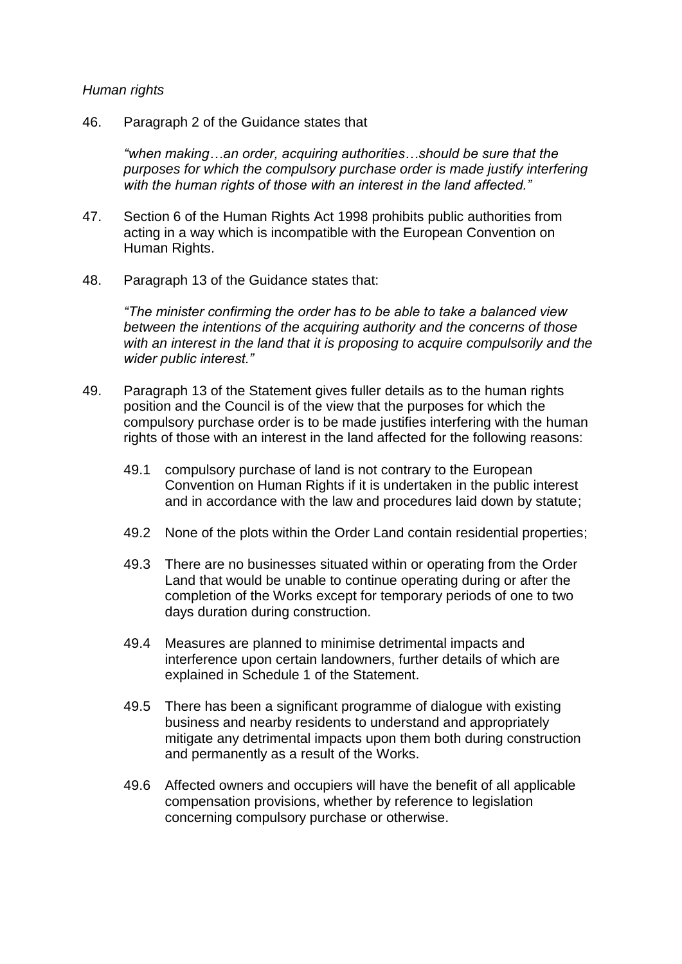#### *Human rights*

46. Paragraph 2 of the Guidance states that

*"when making…an order, acquiring authorities…should be sure that the purposes for which the compulsory purchase order is made justify interfering with the human rights of those with an interest in the land affected."*

- 47. Section 6 of the Human Rights Act 1998 prohibits public authorities from acting in a way which is incompatible with the European Convention on Human Rights.
- 48. Paragraph 13 of the Guidance states that:

*"The minister confirming the order has to be able to take a balanced view between the intentions of the acquiring authority and the concerns of those with an interest in the land that it is proposing to acquire compulsorily and the wider public interest."*

- 49. Paragraph 13 of the Statement gives fuller details as to the human rights position and the Council is of the view that the purposes for which the compulsory purchase order is to be made justifies interfering with the human rights of those with an interest in the land affected for the following reasons:
	- 49.1 compulsory purchase of land is not contrary to the European Convention on Human Rights if it is undertaken in the public interest and in accordance with the law and procedures laid down by statute;
	- 49.2 None of the plots within the Order Land contain residential properties;
	- 49.3 There are no businesses situated within or operating from the Order Land that would be unable to continue operating during or after the completion of the Works except for temporary periods of one to two days duration during construction.
	- 49.4 Measures are planned to minimise detrimental impacts and interference upon certain landowners, further details of which are explained in Schedule 1 of the Statement.
	- 49.5 There has been a significant programme of dialogue with existing business and nearby residents to understand and appropriately mitigate any detrimental impacts upon them both during construction and permanently as a result of the Works.
	- 49.6 Affected owners and occupiers will have the benefit of all applicable compensation provisions, whether by reference to legislation concerning compulsory purchase or otherwise.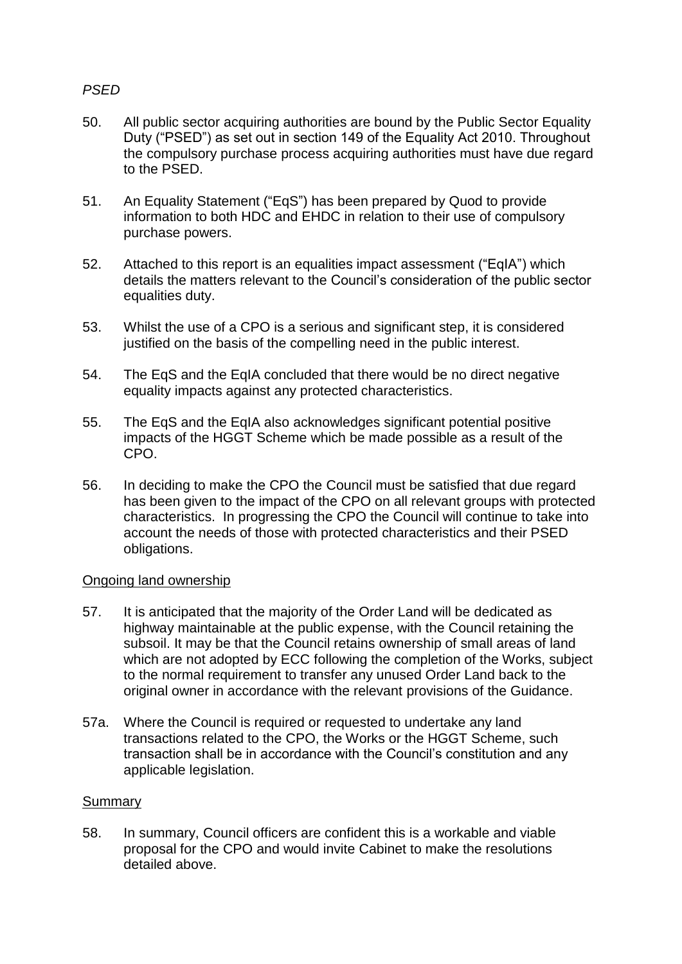## *PSED*

- 50. All public sector acquiring authorities are bound by the Public Sector Equality Duty ("PSED") as set out in section 149 of the Equality Act 2010. Throughout the compulsory purchase process acquiring authorities must have due regard to the PSED.
- 51. An Equality Statement ("EqS") has been prepared by Quod to provide information to both HDC and EHDC in relation to their use of compulsory purchase powers.
- 52. Attached to this report is an equalities impact assessment ("EqIA") which details the matters relevant to the Council's consideration of the public sector equalities duty.
- 53. Whilst the use of a CPO is a serious and significant step, it is considered justified on the basis of the compelling need in the public interest.
- 54. The EqS and the EqIA concluded that there would be no direct negative equality impacts against any protected characteristics.
- 55. The EqS and the EqIA also acknowledges significant potential positive impacts of the HGGT Scheme which be made possible as a result of the CPO.
- 56. In deciding to make the CPO the Council must be satisfied that due regard has been given to the impact of the CPO on all relevant groups with protected characteristics. In progressing the CPO the Council will continue to take into account the needs of those with protected characteristics and their PSED obligations.

## Ongoing land ownership

- 57. It is anticipated that the majority of the Order Land will be dedicated as highway maintainable at the public expense, with the Council retaining the subsoil. It may be that the Council retains ownership of small areas of land which are not adopted by ECC following the completion of the Works, subject to the normal requirement to transfer any unused Order Land back to the original owner in accordance with the relevant provisions of the Guidance.
- 57a. Where the Council is required or requested to undertake any land transactions related to the CPO, the Works or the HGGT Scheme, such transaction shall be in accordance with the Council's constitution and any applicable legislation.

## **Summary**

58. In summary, Council officers are confident this is a workable and viable proposal for the CPO and would invite Cabinet to make the resolutions detailed above.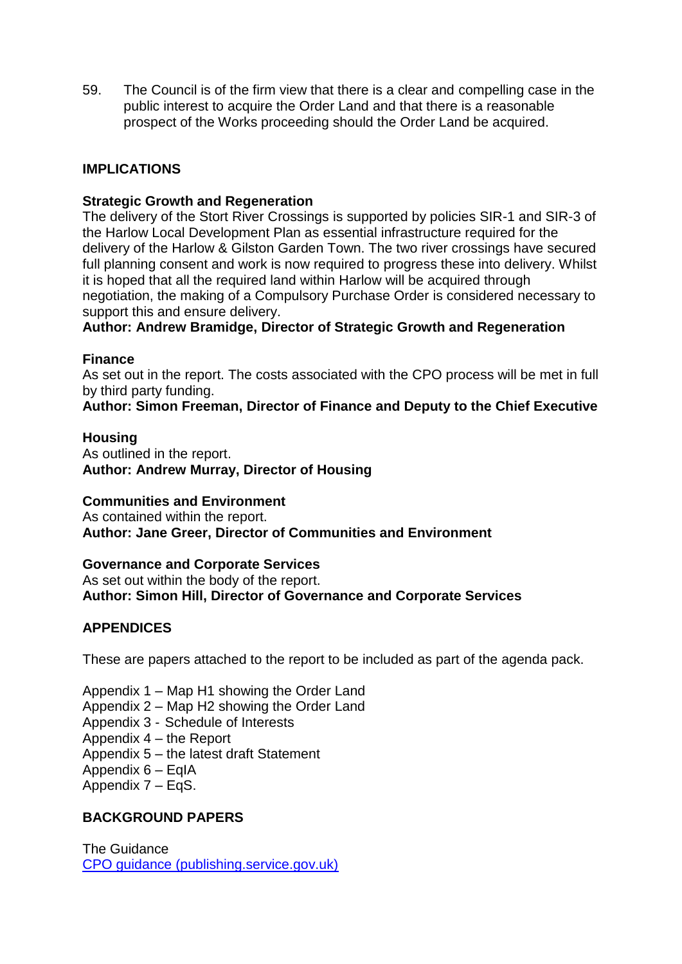59. The Council is of the firm view that there is a clear and compelling case in the public interest to acquire the Order Land and that there is a reasonable prospect of the Works proceeding should the Order Land be acquired.

## **IMPLICATIONS**

## **Strategic Growth and Regeneration**

The delivery of the Stort River Crossings is supported by policies SIR-1 and SIR-3 of the Harlow Local Development Plan as essential infrastructure required for the delivery of the Harlow & Gilston Garden Town. The two river crossings have secured full planning consent and work is now required to progress these into delivery. Whilst it is hoped that all the required land within Harlow will be acquired through negotiation, the making of a Compulsory Purchase Order is considered necessary to support this and ensure delivery.

## **Author: Andrew Bramidge, Director of Strategic Growth and Regeneration**

## **Finance**

As set out in the report. The costs associated with the CPO process will be met in full by third party funding.

**Author: Simon Freeman, Director of Finance and Deputy to the Chief Executive**

#### **Housing**

As outlined in the report. **Author: Andrew Murray, Director of Housing**

## **Communities and Environment**

As contained within the report. **Author: Jane Greer, Director of Communities and Environment**

## **Governance and Corporate Services**

As set out within the body of the report. **Author: Simon Hill, Director of Governance and Corporate Services**

## **APPENDICES**

These are papers attached to the report to be included as part of the agenda pack.

- Appendix 1 Map H1 showing the Order Land
- Appendix 2 Map H2 showing the Order Land
- Appendix 3 Schedule of Interests
- Appendix 4 the Report
- Appendix 5 the latest draft Statement
- Appendix 6 EqIA

Appendix 7 – EqS.

## **BACKGROUND PAPERS**

The Guidance [CPO guidance \(publishing.service.gov.uk\)](https://assets.publishing.service.gov.uk/government/uploads/system/uploads/attachment_data/file/1026178/CPO_guidance_-_with_2019_update.pdf)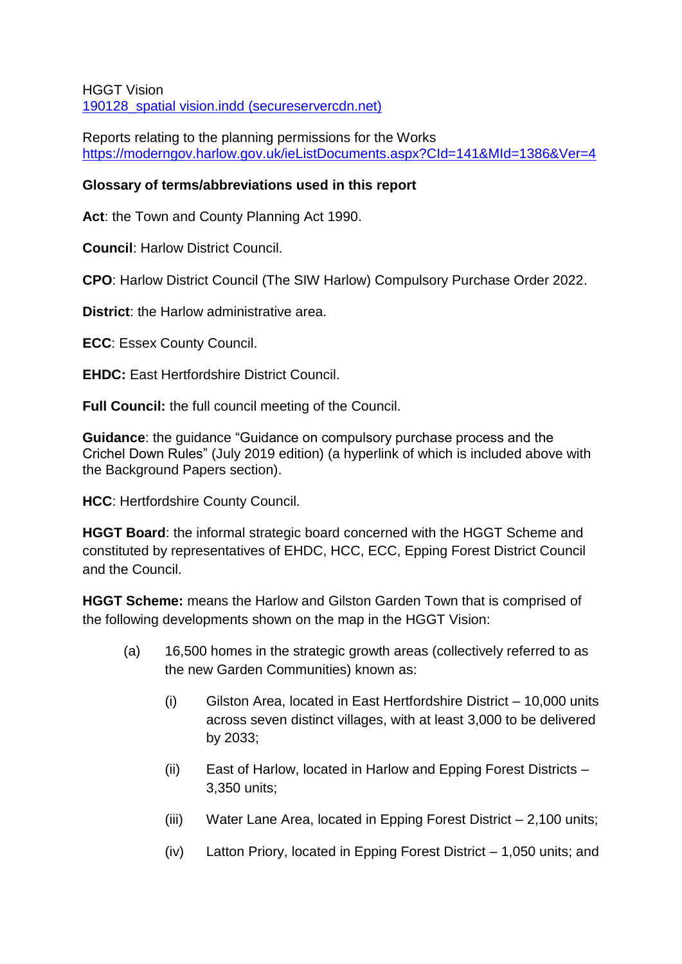HGGT Vision [190128\\_spatial vision.indd \(secureservercdn.net\)](https://secureservercdn.net/160.153.137.14/647.f4f.myftpupload.com/wp-content/uploads/2019/08/190128_Vision-document_HIGH-RES.pdf)

Reports relating to the planning permissions for the Works <https://moderngov.harlow.gov.uk/ieListDocuments.aspx?CId=141&MId=1386&Ver=4>

## **Glossary of terms/abbreviations used in this report**

**Act**: the Town and County Planning Act 1990.

**Council**: Harlow District Council.

**CPO**: Harlow District Council (The SIW Harlow) Compulsory Purchase Order 2022.

**District**: the Harlow administrative area.

**ECC**: Essex County Council.

**EHDC:** East Hertfordshire District Council.

**Full Council:** the full council meeting of the Council.

**Guidance**: the guidance "Guidance on compulsory purchase process and the Crichel Down Rules" (July 2019 edition) (a hyperlink of which is included above with the Background Papers section).

**HCC**: Hertfordshire County Council.

**HGGT Board**: the informal strategic board concerned with the HGGT Scheme and constituted by representatives of EHDC, HCC, ECC, Epping Forest District Council and the Council.

**HGGT Scheme:** means the Harlow and Gilston Garden Town that is comprised of the following developments shown on the map in the HGGT Vision:

- (a) 16,500 homes in the strategic growth areas (collectively referred to as the new Garden Communities) known as:
	- (i) Gilston Area, located in East Hertfordshire District 10,000 units across seven distinct villages, with at least 3,000 to be delivered by 2033;
	- (ii) East of Harlow, located in Harlow and Epping Forest Districts 3,350 units;
	- (iii) Water Lane Area, located in Epping Forest District 2,100 units;
	- (iv) Latton Priory, located in Epping Forest District 1,050 units; and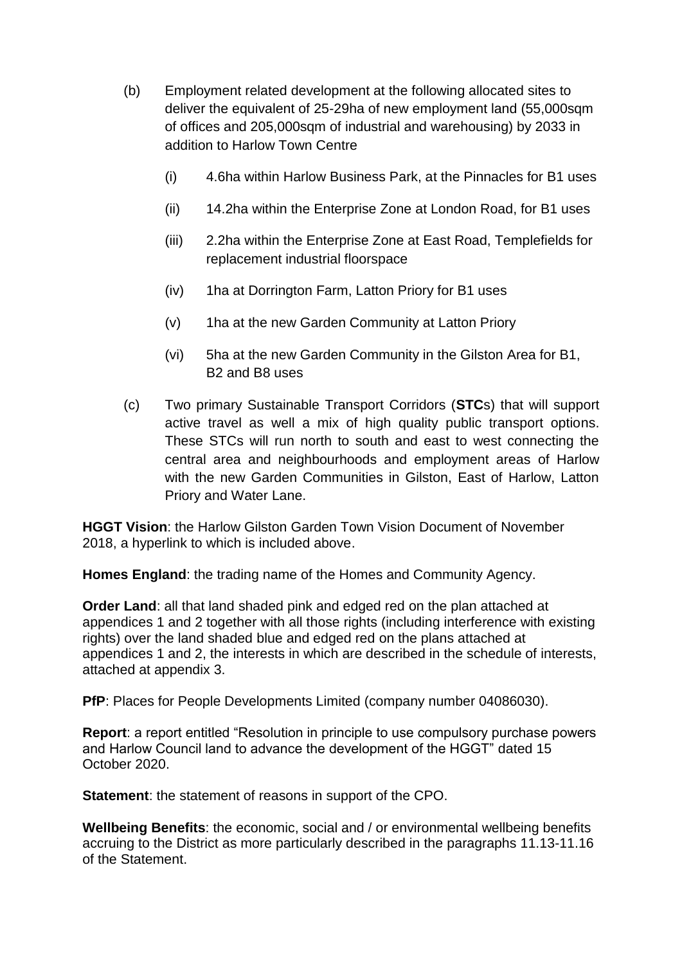- (b) Employment related development at the following allocated sites to deliver the equivalent of 25-29ha of new employment land (55,000sqm of offices and 205,000sqm of industrial and warehousing) by 2033 in addition to Harlow Town Centre
	- (i) 4.6ha within Harlow Business Park, at the Pinnacles for B1 uses
	- (ii) 14.2ha within the Enterprise Zone at London Road, for B1 uses
	- (iii) 2.2ha within the Enterprise Zone at East Road, Templefields for replacement industrial floorspace
	- (iv) 1ha at Dorrington Farm, Latton Priory for B1 uses
	- (v) 1ha at the new Garden Community at Latton Priory
	- (vi) 5ha at the new Garden Community in the Gilston Area for B1, B2 and B8 uses
- (c) Two primary Sustainable Transport Corridors (**STC**s) that will support active travel as well a mix of high quality public transport options. These STCs will run north to south and east to west connecting the central area and neighbourhoods and employment areas of Harlow with the new Garden Communities in Gilston, East of Harlow, Latton Priory and Water Lane.

**HGGT Vision**: the Harlow Gilston Garden Town Vision Document of November 2018, a hyperlink to which is included above.

**Homes England**: the trading name of the Homes and Community Agency.

**Order Land:** all that land shaded pink and edged red on the plan attached at appendices 1 and 2 together with all those rights (including interference with existing rights) over the land shaded blue and edged red on the plans attached at appendices 1 and 2, the interests in which are described in the schedule of interests, attached at appendix 3.

**PfP**: Places for People Developments Limited (company number 04086030).

**Report**: a report entitled "Resolution in principle to use compulsory purchase powers and Harlow Council land to advance the development of the HGGT" dated 15 October 2020.

**Statement**: the statement of reasons in support of the CPO.

**Wellbeing Benefits**: the economic, social and / or environmental wellbeing benefits accruing to the District as more particularly described in the paragraphs 11.13-11.16 of the Statement.